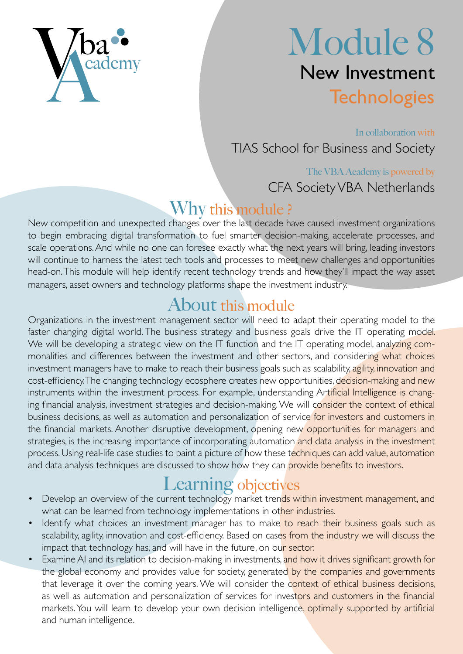

# Module 8 New Investment **Technologies**

In collaboration with TIAS School for Business and Society

#### The VBA Academy is powered by CFA Society VBA Netherlands

#### Why this module ?

New competition and unexpected changes over the last decade have caused investment organizations to begin embracing digital transformation to fuel smarter decision-making, accelerate processes, and scale operations. And while no one can foresee exactly what the next years will bring, leading investors will continue to harness the latest tech tools and processes to meet new challenges and opportunities head-on. This module will help identify recent technology trends and how they'll impact the way asset managers, asset owners and technology platforms shape the investment industry.

### About this module

Organizations in the investment management sector will need to adapt their operating model to the faster changing digital world. The business strategy and business goals drive the IT operating model. We will be developing a strategic view on the IT function and the IT operating model, analyzing commonalities and differences between the investment and other sectors, and considering what choices investment managers have to make to reach their business goals such as scalability, agility, innovation and cost-efficiency. The changing technology ecosphere creates new opportunities, decision-making and new instruments within the investment process. For example, understanding Artificial Intelligence is changing financial analysis, investment strategies and decision-making. We will consider the context of ethical business decisions, as well as automation and personalization of service for investors and customers in the financial markets. Another disruptive development, opening new opportunities for managers and strategies, is the increasing importance of incorporating automation and data analysis in the investment process. Using real-life case studies to paint a picture of how these techniques can add value, automation and data analysis techniques are discussed to show how they can provide benefits to investors.

- **Learning objectives**<br>Develop an overview of the current technology market trends within investment management, and what can be learned from technology implementations in other industries.
- Identify what choices an investment manager has to make to reach their business goals such as scalability, agility, innovation and cost-efficiency. Based on cases from the industry we will discuss the impact that technology has, and will have in the future, on our sector.
- Examine AI and its relation to decision-making in investments, and how it drives significant growth for the global economy and provides value for society, generated by the companies and governments that leverage it over the coming years. We will consider the context of ethical business decisions, as well as automation and personalization of services for investors and customers in the financial markets. You will learn to develop your own decision intelligence, optimally supported by artificial and human intelligence.